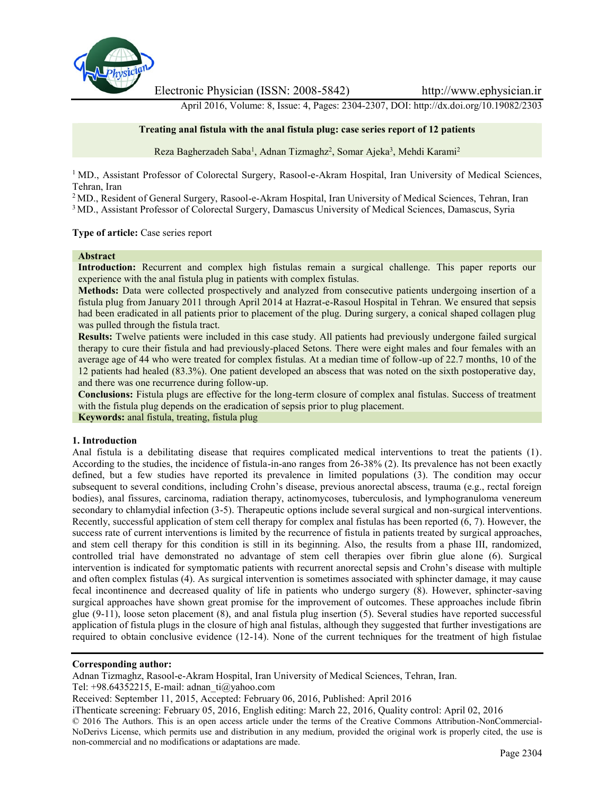

Electronic Physician (ISSN: 2008-5842) http://www.ephysician.ir

April 2016, Volume: 8, Issue: 4, Pages: 2304-2307, DOI: http://dx.doi.org/10.19082/2303

#### **Treating anal fistula with the anal fistula plug: case series report of 12 patients**

Reza Bagherzadeh Saba<sup>1</sup>, Adnan Tizmaghz<sup>2</sup>, Somar Ajeka<sup>3</sup>, Mehdi Karami<sup>2</sup>

<sup>1</sup> MD., Assistant Professor of Colorectal Surgery, Rasool-e-Akram Hospital, Iran University of Medical Sciences, Tehran, Iran

<sup>2</sup> MD., Resident of General Surgery, Rasool-e-Akram Hospital, Iran University of Medical Sciences, Tehran, Iran

<sup>3</sup> MD., Assistant Professor of Colorectal Surgery, Damascus University of Medical Sciences, Damascus, Syria

**Type of article:** Case series report

#### **Abstract**

**Introduction:** Recurrent and complex high fistulas remain a surgical challenge. This paper reports our experience with the anal fistula plug in patients with complex fistulas.

**Methods:** Data were collected prospectively and analyzed from consecutive patients undergoing insertion of a fistula plug from January 2011 through April 2014 at Hazrat-e-Rasoul Hospital in Tehran. We ensured that sepsis had been eradicated in all patients prior to placement of the plug. During surgery, a conical shaped collagen plug was pulled through the fistula tract.

**Results:** Twelve patients were included in this case study. All patients had previously undergone failed surgical therapy to cure their fistula and had previously-placed Setons. There were eight males and four females with an average age of 44 who were treated for complex fistulas. At a median time of follow-up of 22.7 months, 10 of the 12 patients had healed (83.3%). One patient developed an abscess that was noted on the sixth postoperative day, and there was one recurrence during follow-up.

**Conclusions:** Fistula plugs are effective for the long-term closure of complex anal fistulas. Success of treatment with the fistula plug depends on the eradication of sepsis prior to plug placement.

**Keywords:** anal fistula, treating, fistula plug

#### **1. Introduction**

Anal fistula is a debilitating disease that requires complicated medical interventions to treat the patients (1). According to the studies, the incidence of fistula-in-ano ranges from 26-38% (2). Its prevalence has not been exactly defined, but a few studies have reported its prevalence in limited populations (3). The condition may occur subsequent to several conditions, including Crohn's disease, previous anorectal abscess, trauma (e.g., rectal foreign bodies), anal fissures, carcinoma, radiation therapy, actinomycoses, tuberculosis, and lymphogranuloma venereum secondary to chlamydial infection (3-5). Therapeutic options include several surgical and non-surgical interventions. Recently, successful application of stem cell therapy for complex anal fistulas has been reported (6, 7). However, the success rate of current interventions is limited by the recurrence of fistula in patients treated by surgical approaches, and stem cell therapy for this condition is still in its beginning. Also, the results from a phase III, randomized, controlled trial have demonstrated no advantage of stem cell therapies over fibrin glue alone (6). Surgical intervention is indicated for symptomatic patients with recurrent anorectal sepsis and Crohn's disease with multiple and often complex fistulas (4). As surgical intervention is sometimes associated with sphincter damage, it may cause fecal incontinence and decreased quality of life in patients who undergo surgery (8). However, sphincter-saving surgical approaches have shown great promise for the improvement of outcomes. These approaches include fibrin glue (9-11), loose seton placement (8), and anal fistula plug insertion (5). Several studies have reported successful application of fistula plugs in the closure of high anal fistulas, although they suggested that further investigations are required to obtain conclusive evidence (12-14). None of the current techniques for the treatment of high fistulae

#### **Corresponding author:**

Adnan Tizmaghz, Rasool-e-Akram Hospital, Iran University of Medical Sciences, Tehran, Iran.

Tel: +98.64352215, E-mail: adnan\_ti@yahoo.com

Received: September 11, 2015, Accepted: February 06, 2016, Published: April 2016

iThenticate screening: February 05, 2016, English editing: March 22, 2016, Quality control: April 02, 2016

© 2016 The Authors. This is an open access article under the terms of the Creative Commons Attribution-NonCommercial- NoDerivs License, which permits use and distribution in any medium, provided the original work is properly cited, the use is non-commercial and no modifications or adaptations are made.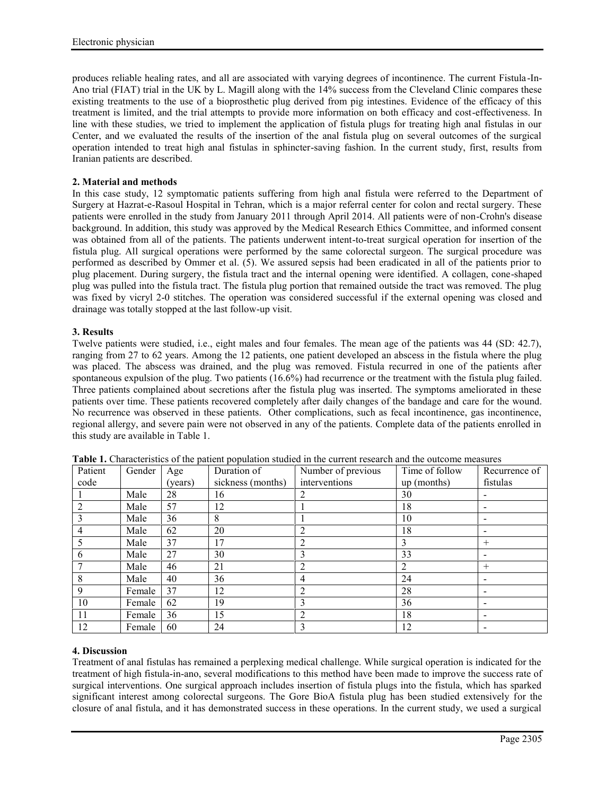produces reliable healing rates, and all are associated with varying degrees of incontinence. The current Fistula-In- Ano trial (FIAT) trial in the UK by L. Magill along with the 14% success from the Cleveland Clinic compares these existing treatments to the use of a bioprosthetic plug derived from pig intestines. Evidence of the efficacy of this treatment is limited, and the trial attempts to provide more information on both efficacy and cost-effectiveness. In line with these studies, we tried to implement the application of fistula plugs for treating high anal fistulas in our Center, and we evaluated the results of the insertion of the anal fistula plug on several outcomes of the surgical operation intended to treat high anal fistulas in sphincter-saving fashion. In the current study, first, results from Iranian patients are described.

# **2. Material and methods**

In this case study, 12 symptomatic patients suffering from high anal fistula were referred to the Department of Surgery at Hazrat-e-Rasoul Hospital in Tehran, which is a major referral center for colon and rectal surgery. These patients were enrolled in the study from January 2011 through April 2014. All patients were of non-Crohn's disease background. In addition, this study was approved by the Medical Research Ethics Committee, and informed consent was obtained from all of the patients. The patients underwent intent-to-treat surgical operation for insertion of the fistula plug. All surgical operations were performed by the same colorectal surgeon. The surgical procedure was performed as described by Ommer et al. (5). We assured sepsis had been eradicated in all of the patients prior to plug placement. During surgery, the fistula tract and the internal opening were identified. A collagen, cone-shaped plug was pulled into the fistula tract. The fistula plug portion that remained outside the tract was removed. The plug was fixed by vicryl 2-0 stitches. The operation was considered successful if the external opening was closed and drainage was totally stopped at the last follow-up visit.

# **3. Results**

Twelve patients were studied, i.e., eight males and four females. The mean age of the patients was 44 (SD: 42.7), ranging from 27 to 62 years. Among the 12 patients, one patient developed an abscess in the fistula where the plug was placed. The abscess was drained, and the plug was removed. Fistula recurred in one of the patients after spontaneous expulsion of the plug. Two patients  $(16.6%)$  had recurrence or the treatment with the fistula plug failed. Three patients complained about secretions after the fistula plug was inserted. The symptoms ameliorated in these patients over time. These patients recovered completely after daily changes of the bandage and care for the wound. No recurrence was observed in these patients. Other complications, such as fecal incontinence, gas incontinence, regional allergy, and severe pain were not observed in any of the patients. Complete data of the patients enrolled in this study are available in Table 1.

| Patient        | Gender | Age     | Duration of       | Number of previous | Time of follow | Recurrence of            |
|----------------|--------|---------|-------------------|--------------------|----------------|--------------------------|
| code           |        | (vears) | sickness (months) | interventions      | $up$ (months)  | fistulas                 |
|                | Male   | 28      | 16                |                    | 30             |                          |
| $\overline{2}$ | Male   | 57      | 12                |                    | 18             |                          |
|                | Male   | 36      | 8                 |                    | 10             |                          |
|                | Male   | 62      | 20                | ↑                  | 18             |                          |
|                | Male   | 37      | 17                |                    | 3              | $^{+}$                   |
| 6              | Male   | 27      | 30                |                    | 33             |                          |
|                | Male   | 46      | 21                | ↑                  | 2              | $^{+}$                   |
| 8              | Male   | 40      | 36                | 4                  | 24             |                          |
| 9              | Female | 37      | 12                |                    | 28             | $\overline{\phantom{0}}$ |
| 10             | Female | 62      | 19                |                    | 36             |                          |
| 11             | Female | 36      | 15                |                    | 18             |                          |
| 12             | Female | 60      | 24                |                    | 12             |                          |

**Table 1.** Characteristics of the patient population studied in the current research and the outcome measures

# **4. Discussion**

Treatment of anal fistulas has remained a perplexing medical challenge. While surgical operation is indicated for the treatment of high fistula-in-ano, several modifications to this method have been made to improve the success rate of surgical interventions. One surgical approach includes insertion of fistula plugs into the fistula, which has sparked significant interest among colorectal surgeons. The Gore BioA fistula plug has been studied extensively for the closure of anal fistula, and it has demonstrated success in these operations. In the current study, we used a surgical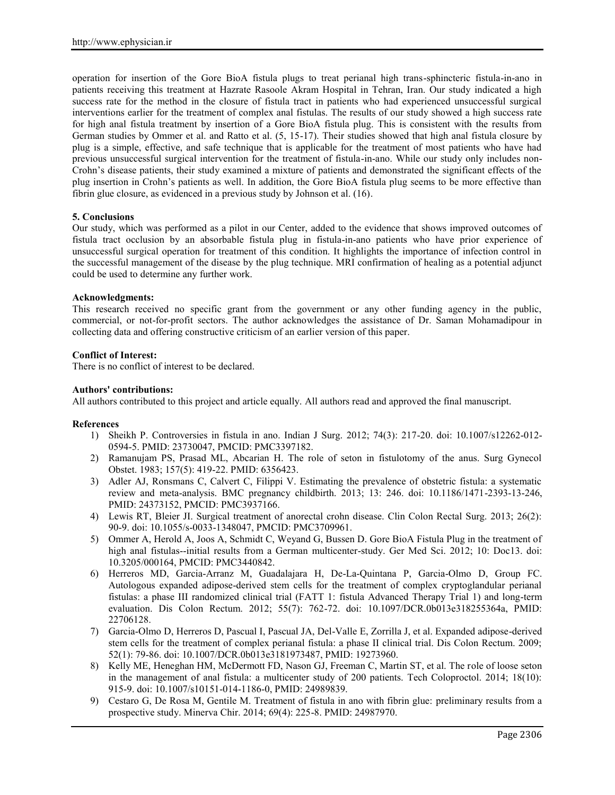operation for insertion of the Gore BioA fistula plugs to treat perianal high trans-sphincteric fistula-in-ano in patients receiving this treatment at Hazrate Rasoole Akram Hospital in Tehran, Iran. Our study indicated a high success rate for the method in the closure of fistula tract in patients who had experienced unsuccessful surgical interventions earlier for the treatment of complex anal fistulas. The results of our study showed a high success rate for high anal fistula treatment by insertion of a Gore BioA fistula plug. This is consistent with the results from German studies by Ommer et al. and Ratto et al. (5, 15-17). Their studies showed that high anal fistula closure by plug is a simple, effective, and safe technique that is applicable for the treatment of most patients who have had previous unsuccessful surgical intervention for the treatment of fistula-in-ano. While our study only includes non- Crohn's disease patients, their study examined a mixture of patients and demonstrated the significant effects of the plug insertion in Crohn's patients as well. In addition, the Gore BioA fistula plug seems to be more effective than fibrin glue closure, as evidenced in a previous study by Johnson et al. (16).

# **5. Conclusions**

Our study, which was performed as a pilot in our Center, added to the evidence that shows improved outcomes of fistula tract occlusion by an absorbable fistula plug in fistula-in-ano patients who have prior experience of unsuccessful surgical operation for treatment of this condition. It highlights the importance of infection control in the successful management of the disease by the plug technique. MRI confirmation of healing as a potential adjunct could be used to determine any further work.

# **Acknowledgments:**

This research received no specific grant from the government or any other funding agency in the public, commercial, or not-for-profit sectors. The author acknowledges the assistance of Dr. Saman Mohamadipour in collecting data and offering constructive criticism of an earlier version of this paper.

# **Conflict of Interest:**

There is no conflict of interest to be declared.

#### **Authors' contributions:**

All authors contributed to this project and article equally. All authors read and approved the final manuscript.

#### **References**

- 1) Sheikh P. Controversies in fistula in ano. Indian J Surg. 2012; 74(3): 217-20. doi: 10.1007/s12262-012- 0594-5. PMID: 23730047, PMCID: PMC3397182.
- 2) Ramanujam PS, Prasad ML, Abcarian H. The role of seton in fistulotomy of the anus. Surg Gynecol Obstet. 1983; 157(5): 419-22. PMID: 6356423.
- 3) Adler AJ, Ronsmans C, Calvert C, Filippi V. Estimating the prevalence of obstetric fistula: a systematic review and meta-analysis. BMC pregnancy childbirth. 2013; 13: 246. doi: 10.1186/1471-2393-13-246, PMID: 24373152, PMCID: PMC3937166.
- 4) Lewis RT, Bleier JI. Surgical treatment of anorectal crohn disease. Clin Colon Rectal Surg. 2013; 26(2): 90-9. doi: 10.1055/s-0033-1348047, PMCID: PMC3709961.
- 5) Ommer A, Herold A, Joos A, Schmidt C, Weyand G, Bussen D. Gore BioA Fistula Plug in the treatment of high anal fistulas--initial results from a German multicenter-study. Ger Med Sci. 2012; 10: Doc13. doi: 10.3205/000164, PMCID: PMC3440842.
- 6) Herreros MD, Garcia-Arranz M, Guadalajara H, De-La-Quintana P, Garcia-Olmo D, Group FC. Autologous expanded adipose-derived stem cells for the treatment of complex cryptoglandular perianal fistulas: a phase III randomized clinical trial (FATT 1: fistula Advanced Therapy Trial 1) and long-term evaluation. Dis Colon Rectum. 2012; 55(7): 762-72. doi: 10.1097/DCR.0b013e318255364a, PMID: 22706128.
- 7) Garcia-Olmo D, Herreros D, Pascual I, Pascual JA, Del-Valle E, Zorrilla J, et al. Expanded adipose-derived stem cells for the treatment of complex perianal fistula: a phase II clinical trial. Dis Colon Rectum. 2009; 52(1): 79-86. doi: 10.1007/DCR.0b013e3181973487, PMID: 19273960.
- 8) Kelly ME, Heneghan HM, McDermott FD, Nason GJ, Freeman C, Martin ST, et al. The role of loose seton in the management of anal fistula: a multicenter study of 200 patients. Tech Coloproctol. 2014; 18(10): 915-9. doi: 10.1007/s10151-014-1186-0, PMID: 24989839.
- 9) Cestaro G, De Rosa M, Gentile M. Treatment of fistula in ano with fibrin glue: preliminary results from a prospective study. Minerva Chir. 2014; 69(4): 225-8. PMID: 24987970.